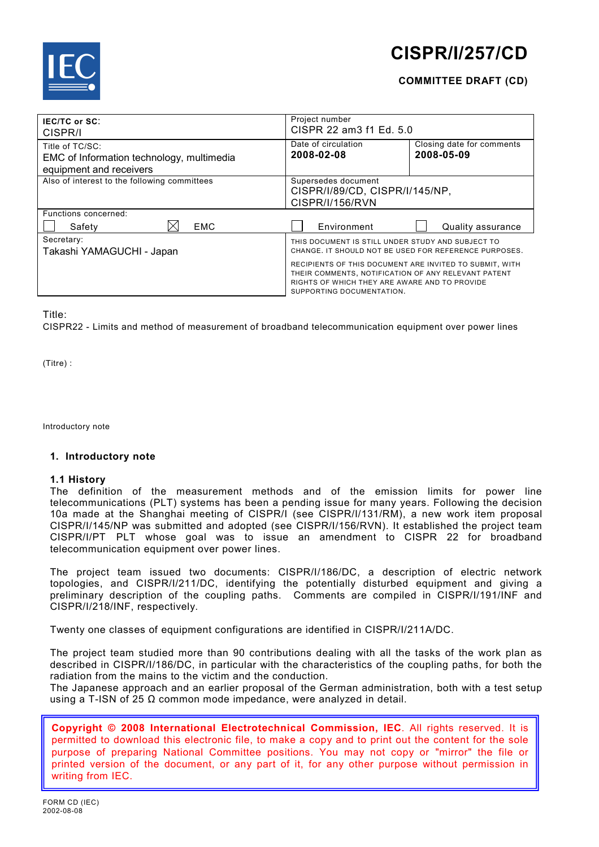

# **CISPR/I/257/CD**

# **COMMITTEE DRAFT (CD)**

| <b>IEC/TC or SC:</b><br>CISPR/I                                                         | Project number<br>CISPR 22 am3 f1 Ed. 5.0                                                                                                                                                    |                                         |  |
|-----------------------------------------------------------------------------------------|----------------------------------------------------------------------------------------------------------------------------------------------------------------------------------------------|-----------------------------------------|--|
| Title of TC/SC:<br>EMC of Information technology, multimedia<br>equipment and receivers | Date of circulation<br>2008-02-08                                                                                                                                                            | Closing date for comments<br>2008-05-09 |  |
| Also of interest to the following committees                                            | Supersedes document<br>CISPR/I/89/CD, CISPR/I/145/NP,<br>CISPR/I/156/RVN                                                                                                                     |                                         |  |
| Functions concerned:<br><b>EMC</b><br>Safety                                            | Environment                                                                                                                                                                                  | Quality assurance                       |  |
| Secretary:<br>Takashi YAMAGUCHI - Japan                                                 | THIS DOCUMENT IS STILL UNDER STUDY AND SUBJECT TO<br>CHANGE. IT SHOULD NOT BE USED FOR REFERENCE PURPOSES.                                                                                   |                                         |  |
|                                                                                         | RECIPIENTS OF THIS DOCUMENT ARE INVITED TO SUBMIT, WITH<br>THEIR COMMENTS, NOTIFICATION OF ANY RELEVANT PATENT<br>RIGHTS OF WHICH THEY ARE AWARE AND TO PROVIDE<br>SUPPORTING DOCUMENTATION. |                                         |  |

# Title:

CISPR22 - Limits and method of measurement of broadband telecommunication equipment over power lines

(Titre) :

Introductory note

#### **1. Introductory note**

# **1.1 History**

The definition of the measurement methods and of the emission limits for power line telecommunications (PLT) systems has been a pending issue for many years. Following the decision 10a made at the Shanghai meeting of CISPR/I (see CISPR/I/131/RM), a new work item proposal CISPR/I/145/NP was submitted and adopted (see CISPR/I/156/RVN). It established the project team CISPR/I/PT PLT whose goal was to issue an amendment to CISPR 22 for broadband telecommunication equipment over power lines.

The project team issued two documents: CISPR/I/186/DC, a description of electric network topologies, and CISPR/I/211/DC, identifying the potentially disturbed equipment and giving a preliminary description of the coupling paths. Comments are compiled in CISPR/I/191/INF and CISPR/I/218/INF, respectively.

Twenty one classes of equipment configurations are identified in CISPR/I/211A/DC.

The project team studied more than 90 contributions dealing with all the tasks of the work plan as described in CISPR/I/186/DC, in particular with the characteristics of the coupling paths, for both the radiation from the mains to the victim and the conduction.

The Japanese approach and an earlier proposal of the German administration, both with a test setup using a T-ISN of 25  $\Omega$  common mode impedance, were analyzed in detail.

**Copyright © 2008 International Electrotechnical Commission, IEC**. All rights reserved. It is permitted to download this electronic file, to make a copy and to print out the content for the sole purpose of preparing National Committee positions. You may not copy or "mirror" the file or printed version of the document, or any part of it, for any other purpose without permission in writing from IEC.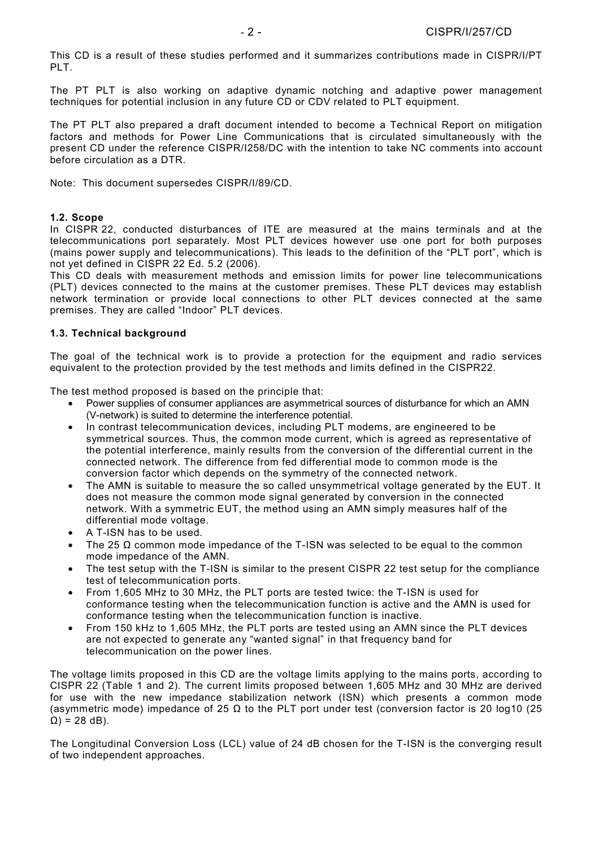This CD is a result of these studies performed and it summarizes contributions made in CISPR/I/PT PLT.

The PT PLT is also working on adaptive dynamic notching and adaptive power management techniques for potential inclusion in any future CD or CDV related to PLT equipment.

The PT PLT also prepared a draft document intended to become a Technical Report on mitigation factors and methods for Power Line Communications that is circulated simultaneously with the present CD under the reference CISPR/I258/DC with the intention to take NC comments into account before circulation as a DTR.

Note: This document supersedes CISPR/I/89/CD.

# **1.2. Scope**

In CISPR 22, conducted disturbances of ITE are measured at the mains terminals and at the telecommunications port separately. Most PLT devices however use one port for both purposes (mains power supply and telecommunications). This leads to the definition of the "PLT port", which is not yet defined in CISPR 22 Ed. 5.2 (2006).

This CD deals with measurement methods and emission limits for power line telecommunications (PLT) devices connected to the mains at the customer premises. These PLT devices may establish network termination or provide local connections to other PLT devices connected at the same premises. They are called "Indoor" PLT devices.

# **1.3. Technical background**

The goal of the technical work is to provide a protection for the equipment and radio services equivalent to the protection provided by the test methods and limits defined in the CISPR22.

The test method proposed is based on the principle that:

- Power supplies of consumer appliances are asymmetrical sources of disturbance for which an AMN (V-network) is suited to determine the interference potential.
- In contrast telecommunication devices, including PLT modems, are engineered to be symmetrical sources. Thus, the common mode current, which is agreed as representative of the potential interference, mainly results from the conversion of the differential current in the connected network. The difference from fed differential mode to common mode is the conversion factor which depends on the symmetry of the connected network.
- The AMN is suitable to measure the so called unsymmetrical voltage generated by the EUT. It does not measure the common mode signal generated by conversion in the connected network. With a symmetric EUT, the method using an AMN simply measures half of the differential mode voltage.
- A T-ISN has to be used.
- The 25  $\Omega$  common mode impedance of the T-ISN was selected to be equal to the common mode impedance of the AMN.
- The test setup with the T-ISN is similar to the present CISPR 22 test setup for the compliance test of telecommunication ports.
- From 1,605 MHz to 30 MHz, the PLT ports are tested twice: the T-ISN is used for conformance testing when the telecommunication function is active and the AMN is used for conformance testing when the telecommunication function is inactive.
- From 150 kHz to 1,605 MHz, the PLT ports are tested using an AMN since the PLT devices are not expected to generate any "wanted signal" in that frequency band for telecommunication on the power lines.

The voltage limits proposed in this CD are the voltage limits applying to the mains ports, according to CISPR 22 (Table 1 and 2). The current limits proposed between 1,605 MHz and 30 MHz are derived for use with the new impedance stabilization network (ISN) which presents a common mode (asymmetric mode) impedance of 25 Ω to the PLT port under test (conversion factor is 20 log10 (25  $Ω$ ) = 28 dB).

The Longitudinal Conversion Loss (LCL) value of 24 dB chosen for the T-ISN is the converging result of two independent approaches.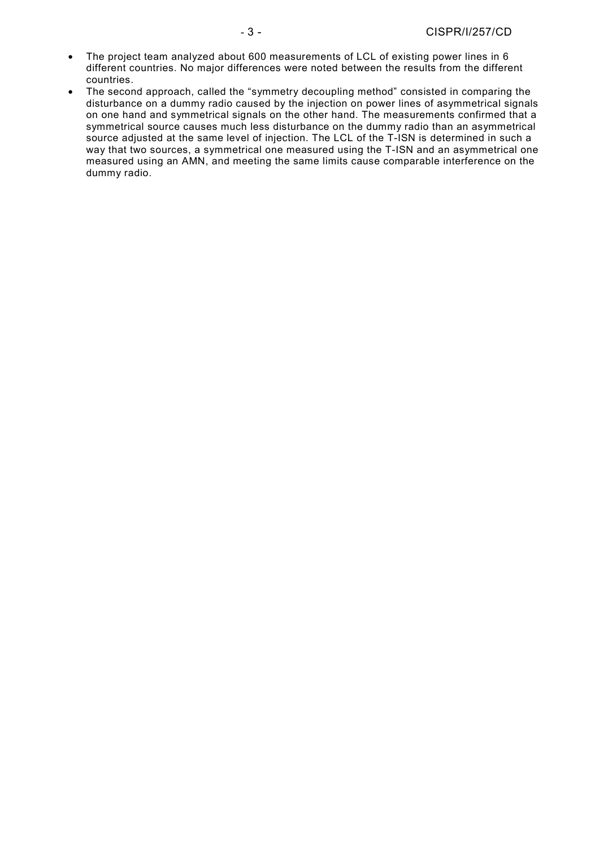- The project team analyzed about 600 measurements of LCL of existing power lines in 6 different countries. No major differences were noted between the results from the different countries.
- The second approach, called the "symmetry decoupling method" consisted in comparing the disturbance on a dummy radio caused by the injection on power lines of asymmetrical signals on one hand and symmetrical signals on the other hand. The measurements confirmed that a symmetrical source causes much less disturbance on the dummy radio than an asymmetrical source adjusted at the same level of injection. The LCL of the T-ISN is determined in such a way that two sources, a symmetrical one measured using the T-ISN and an asymmetrical one measured using an AMN, and meeting the same limits cause comparable interference on the dummy radio.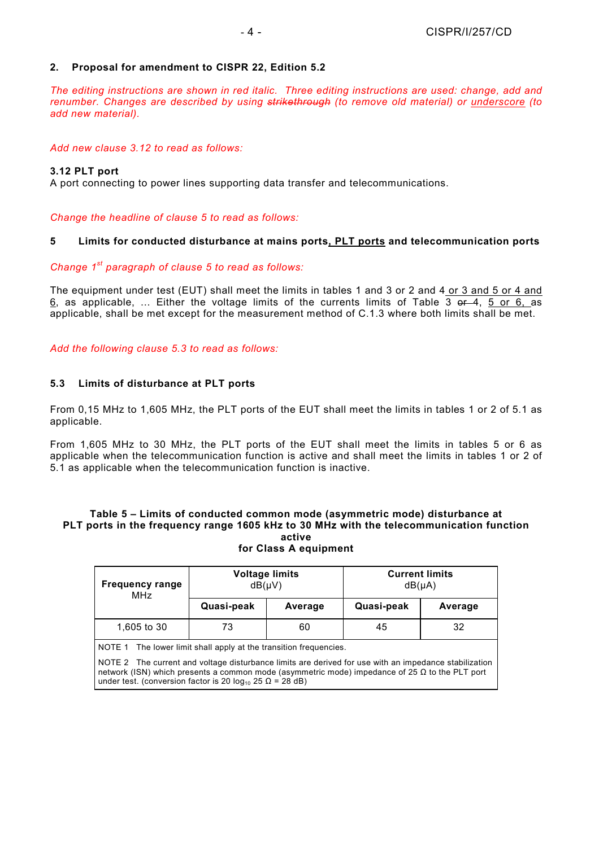# **2. Proposal for amendment to CISPR 22, Edition 5.2**

*The editing instructions are shown in red italic. Three editing instructions are used: change, add and renumber. Changes are described by using strikethrough (to remove old material) or underscore (to add new material).* 

# *Add new clause 3.12 to read as follows:*

# **3.12 PLT port**

A port connecting to power lines supporting data transfer and telecommunications.

*Change the headline of clause 5 to read as follows:* 

# **5 Limits for conducted disturbance at mains ports, PLT ports and telecommunication ports**

# *Change 1st paragraph of clause 5 to read as follows:*

The equipment under test (EUT) shall meet the limits in tables 1 and 3 or 2 and 4 or 3 and 5 or 4 and  $6$ , as applicable, ... Either the voltage limits of the currents limits of Table 3 or 4, 5 or 6, as applicable, shall be met except for the measurement method of C.1.3 where both limits shall be met.

*Add the following clause 5.3 to read as follows:* 

# **5.3 Limits of disturbance at PLT ports**

From 0,15 MHz to 1,605 MHz, the PLT ports of the EUT shall meet the limits in tables 1 or 2 of 5.1 as applicable.

From 1,605 MHz to 30 MHz, the PLT ports of the EUT shall meet the limits in tables 5 or 6 as applicable when the telecommunication function is active and shall meet the limits in tables 1 or 2 of 5.1 as applicable when the telecommunication function is inactive.

#### **Table 5 – Limits of conducted common mode (asymmetric mode) disturbance at PLT ports in the frequency range 1605 kHz to 30 MHz with the telecommunication function active for Class A equipment**

| <b>Frequency range</b><br>MHz                                                                                                                                                                                                                                                                                                                               | <b>Voltage limits</b><br>$dB($ µ $V)$ |         | <b>Current limits</b><br>$dB(\mu A)$ |         |  |  |
|-------------------------------------------------------------------------------------------------------------------------------------------------------------------------------------------------------------------------------------------------------------------------------------------------------------------------------------------------------------|---------------------------------------|---------|--------------------------------------|---------|--|--|
|                                                                                                                                                                                                                                                                                                                                                             | Quasi-peak                            | Average | Quasi-peak                           | Average |  |  |
| 1,605 to 30                                                                                                                                                                                                                                                                                                                                                 | 73                                    | 60      | 45                                   | 32      |  |  |
| NOTE 1 The lower limit shall apply at the transition frequencies.<br>NOTE 2 The current and voltage disturbance limits are derived for use with an impedance stabilization<br>network (ISN) which presents a common mode (asymmetric mode) impedance of 25 $\Omega$ to the PLT port<br>under test. (conversion factor is 20 $log_{10}$ 25 $\Omega$ = 28 dB) |                                       |         |                                      |         |  |  |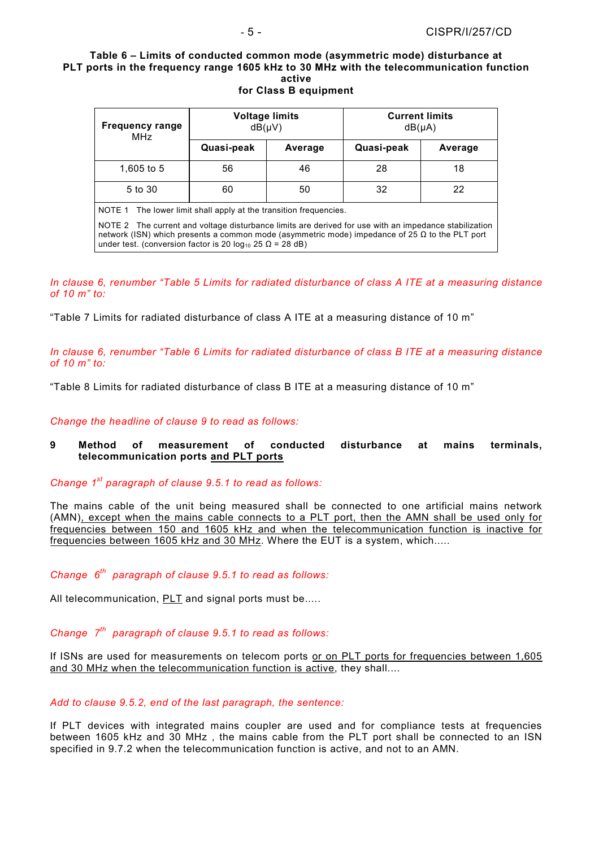**Table 6 – Limits of conducted common mode (asymmetric mode) disturbance at PLT ports in the frequency range 1605 kHz to 30 MHz with the telecommunication function active** 

# **for Class B equipment**

| <b>Frequency range</b><br>MHz                                                                                                                                                                                                                                                          | <b>Voltage limits</b><br>$dB(\mu V)$ |         | <b>Current limits</b><br>$dB(\mu A)$ |         |  |  |
|----------------------------------------------------------------------------------------------------------------------------------------------------------------------------------------------------------------------------------------------------------------------------------------|--------------------------------------|---------|--------------------------------------|---------|--|--|
|                                                                                                                                                                                                                                                                                        | Quasi-peak                           | Average | Quasi-peak                           | Average |  |  |
| 1,605 to 5                                                                                                                                                                                                                                                                             | 56                                   | 46      | 28                                   | 18      |  |  |
| 5 to 30                                                                                                                                                                                                                                                                                | 60                                   | 50      | 32                                   | 22      |  |  |
| NOTE 1 The lower limit shall apply at the transition frequencies.                                                                                                                                                                                                                      |                                      |         |                                      |         |  |  |
| NOTE 2 The current and voltage disturbance limits are derived for use with an impedance stabilization<br>network (ISN) which presents a common mode (asymmetric mode) impedance of 25 $\Omega$ to the PLT port<br>under test. (conversion factor is 20 $log_{10}$ 25 $\Omega$ = 28 dB) |                                      |         |                                      |         |  |  |

*In clause 6, renumber "Table 5 Limits for radiated disturbance of class A ITE at a measuring distance of 10 m" to:* 

"Table 7 Limits for radiated disturbance of class A ITE at a measuring distance of 10 m"

*In clause 6, renumber "Table 6 Limits for radiated disturbance of class B ITE at a measuring distance of 10 m" to:* 

"Table 8 Limits for radiated disturbance of class B ITE at a measuring distance of 10 m"

*Change the headline of clause 9 to read as follows:* 

# **9 Method of measurement of conducted disturbance at mains terminals, telecommunication ports and PLT ports**

*Change 1st paragraph of clause 9.5.1 to read as follows:* 

The mains cable of the unit being measured shall be connected to one artificial mains network (AMN), except when the mains cable connects to a PLT port, then the AMN shall be used only for frequencies between 150 and 1605 kHz and when the telecommunication function is inactive for frequencies between 1605 kHz and 30 MHz. Where the EUT is a system, which.....

# *Change 6th paragraph of clause 9.5.1 to read as follows:*

All telecommunication, PLT and signal ports must be.....

*Change 7th paragraph of clause 9.5.1 to read as follows:* 

If ISNs are used for measurements on telecom ports or on PLT ports for frequencies between 1,605 and 30 MHz when the telecommunication function is active, they shall....

#### *Add to clause 9.5.2, end of the last paragraph, the sentence:*

If PLT devices with integrated mains coupler are used and for compliance tests at frequencies between 1605 kHz and 30 MHz , the mains cable from the PLT port shall be connected to an ISN specified in 9.7.2 when the telecommunication function is active, and not to an AMN.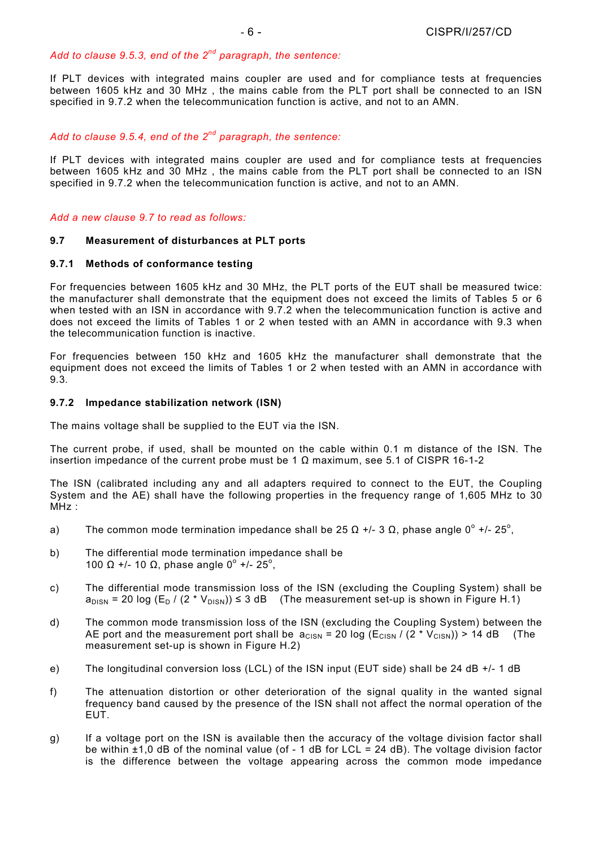# *Add to clause 9.5.3, end of the 2nd paragraph, the sentence:*

If PLT devices with integrated mains coupler are used and for compliance tests at frequencies between 1605 kHz and 30 MHz , the mains cable from the PLT port shall be connected to an ISN specified in 9.7.2 when the telecommunication function is active, and not to an AMN.

# *Add to clause 9.5.4, end of the 2nd paragraph, the sentence:*

If PLT devices with integrated mains coupler are used and for compliance tests at frequencies between 1605 kHz and 30 MHz , the mains cable from the PLT port shall be connected to an ISN specified in 9.7.2 when the telecommunication function is active, and not to an AMN.

# *Add a new clause 9.7 to read as follows:*

# **9.7 Measurement of disturbances at PLT ports**

# **9.7.1 Methods of conformance testing**

For frequencies between 1605 kHz and 30 MHz, the PLT ports of the EUT shall be measured twice: the manufacturer shall demonstrate that the equipment does not exceed the limits of Tables 5 or 6 when tested with an ISN in accordance with 9.7.2 when the telecommunication function is active and does not exceed the limits of Tables 1 or 2 when tested with an AMN in accordance with 9.3 when the telecommunication function is inactive.

For frequencies between 150 kHz and 1605 kHz the manufacturer shall demonstrate that the equipment does not exceed the limits of Tables 1 or 2 when tested with an AMN in accordance with 9.3.

# **9.7.2 Impedance stabilization network (ISN)**

The mains voltage shall be supplied to the EUT via the ISN.

The current probe, if used, shall be mounted on the cable within 0.1 m distance of the ISN. The insertion impedance of the current probe must be 1 Ω maximum, see 5.1 of CISPR 16-1-2

The ISN (calibrated including any and all adapters required to connect to the EUT, the Coupling System and the AE) shall have the following properties in the frequency range of 1,605 MHz to 30 MHz :

- a) The common mode termination impedance shall be 25  $\Omega$  +/- 3  $\Omega$ , phase angle 0° +/- 25°,
- b) The differential mode termination impedance shall be 100 Ω +/- 10 Ω, phase angle  $0^{\circ}$  +/- 25°,
- c) The differential mode transmission loss of the ISN (excluding the Coupling System) shall be  $a_{DISN}$  = 20 log (E<sub>D</sub> / (2 \* V<sub>DISN</sub>)) ≤ 3 dB (The measurement set-up is shown in Figure H.1)
- d) The common mode transmission loss of the ISN (excluding the Coupling System) between the AE port and the measurement port shall be  $a_{CISN} = 20 \log (E_{CISN})/(2 \times V_{CISN})) > 14 \text{ dB}$  (The measurement set-up is shown in Figure H.2)
- e) The longitudinal conversion loss (LCL) of the ISN input (EUT side) shall be 24 dB +/- 1 dB
- f) The attenuation distortion or other deterioration of the signal quality in the wanted signal frequency band caused by the presence of the ISN shall not affect the normal operation of the EUT.
- g) If a voltage port on the ISN is available then the accuracy of the voltage division factor shall be within  $\pm$ 1,0 dB of the nominal value (of - 1 dB for LCL = 24 dB). The voltage division factor is the difference between the voltage appearing across the common mode impedance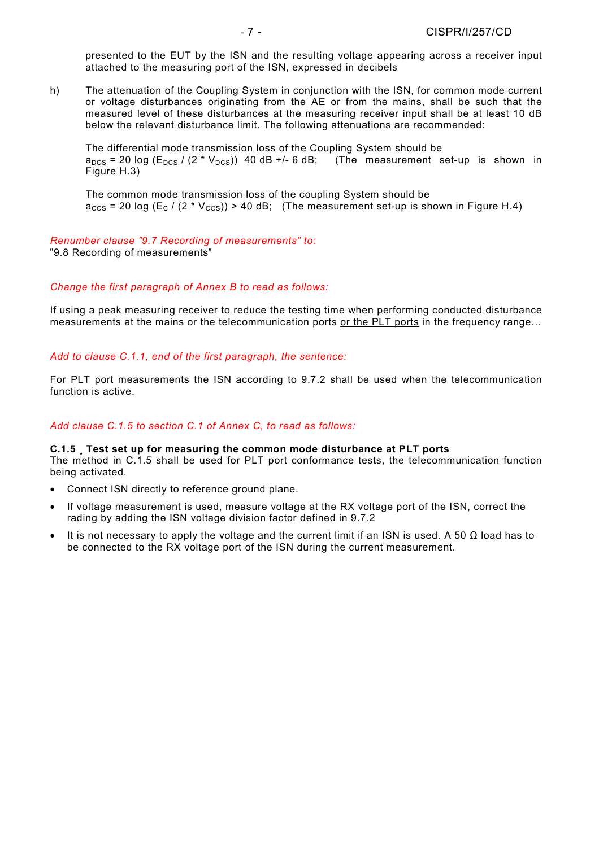presented to the EUT by the ISN and the resulting voltage appearing across a receiver input attached to the measuring port of the ISN, expressed in decibels

h) The attenuation of the Coupling System in conjunction with the ISN, for common mode current or voltage disturbances originating from the AE or from the mains, shall be such that the measured level of these disturbances at the measuring receiver input shall be at least 10 dB below the relevant disturbance limit. The following attenuations are recommended:

The differential mode transmission loss of the Coupling System should be  $a_{DCS}$  = 20 log ( $E_{DCS}$  / (2 \*  $V_{DCS}$ )) 40 dB +/- 6 dB; (The measurement set-up is shown in Figure H.3)

The common mode transmission loss of the coupling System should be  $a_{CCS}$  = 20 log (E<sub>C</sub> / (2 \* V<sub>CCS</sub>)) > 40 dB; (The measurement set-up is shown in Figure H.4)

# *Renumber clause "9.7 Recording of measurements" to:*

"9.8 Recording of measurements"

# *Change the first paragraph of Annex B to read as follows:*

If using a peak measuring receiver to reduce the testing time when performing conducted disturbance measurements at the mains or the telecommunication ports or the PLT ports in the frequency range…

# *Add to clause C.1.1, end of the first paragraph, the sentence:*

For PLT port measurements the ISN according to 9.7.2 shall be used when the telecommunication function is active.

## *Add clause C.1.5 to section C.1 of Annex C, to read as follows:*

#### **C.1.5 Test set up for measuring the common mode disturbance at PLT ports**

The method in C.1.5 shall be used for PLT port conformance tests, the telecommunication function being activated.

- Connect ISN directly to reference ground plane.
- If voltage measurement is used, measure voltage at the RX voltage port of the ISN, correct the rading by adding the ISN voltage division factor defined in 9.7.2
- It is not necessary to apply the voltage and the current limit if an ISN is used. A 50  $\Omega$  load has to be connected to the RX voltage port of the ISN during the current measurement.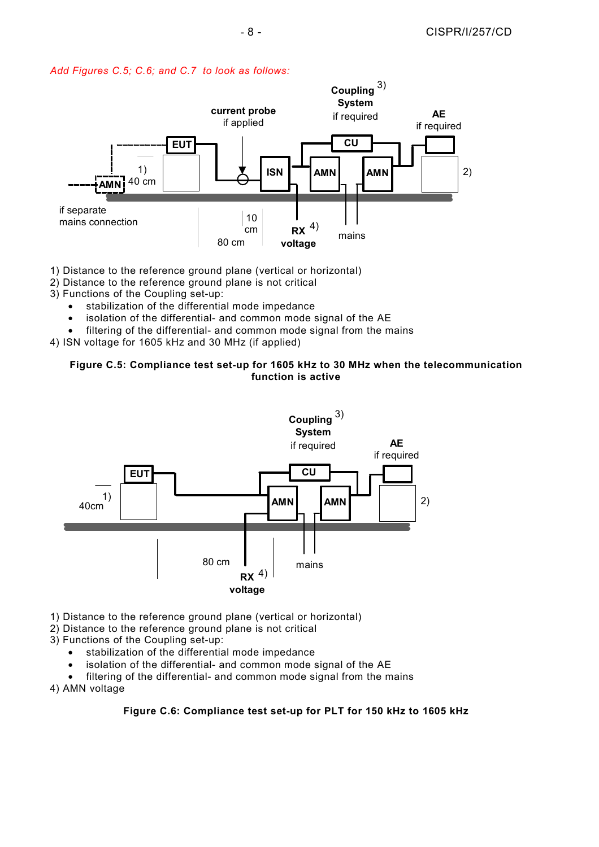



- 1) Distance to the reference ground plane (vertical or horizontal)
- 2) Distance to the reference ground plane is not critical
- 3) Functions of the Coupling set-up:
	- stabilization of the differential mode impedance
	- isolation of the differential- and common mode signal of the AE
	- filtering of the differential- and common mode signal from the mains
- 4) ISN voltage for 1605 kHz and 30 MHz (if applied)

# **Figure C.5: Compliance test set-up for 1605 kHz to 30 MHz when the telecommunication function is active**



- 1) Distance to the reference ground plane (vertical or horizontal)
- 2) Distance to the reference ground plane is not critical
- 3) Functions of the Coupling set-up:
	- stabilization of the differential mode impedance
	- isolation of the differential- and common mode signal of the AE
	- filtering of the differential- and common mode signal from the mains

4) AMN voltage

# **Figure C.6: Compliance test set-up for PLT for 150 kHz to 1605 kHz**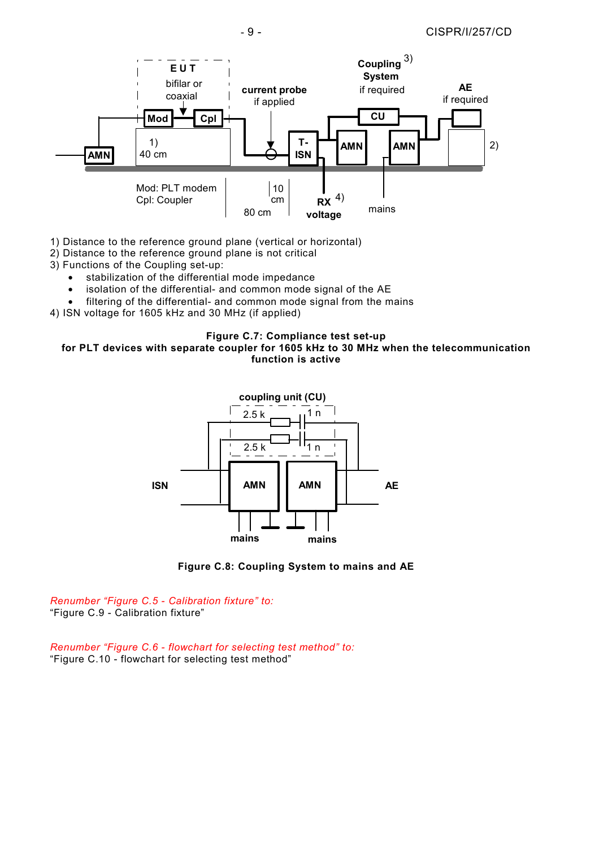

1) Distance to the reference ground plane (vertical or horizontal)

- 2) Distance to the reference ground plane is not critical
- 3) Functions of the Coupling set-up:
	- stabilization of the differential mode impedance
	- isolation of the differential- and common mode signal of the AE
	- filtering of the differential- and common mode signal from the mains
- 4) ISN voltage for 1605 kHz and 30 MHz (if applied)

#### **Figure C.7: Compliance test set-up for PLT devices with separate coupler for 1605 kHz to 30 MHz when the telecommunication function is active**





*Renumber "Figure C.5 - Calibration fixture" to:*  "Figure C.9 - Calibration fixture"

*Renumber "Figure C.6 - flowchart for selecting test method" to:*  "Figure C.10 - flowchart for selecting test method"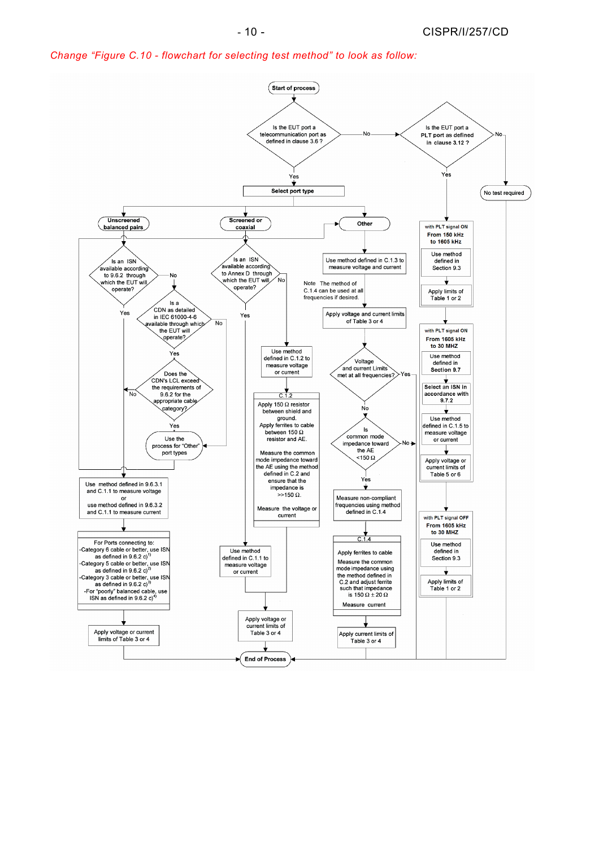*Change "Figure C.10 - flowchart for selecting test method" to look as follow:* 

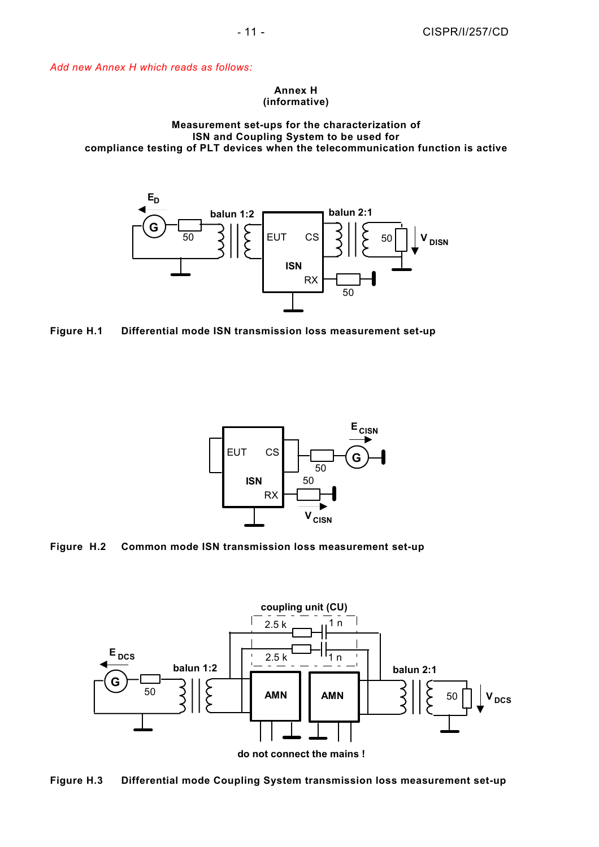*Add new Annex H which reads as follows:*

#### **Annex H (informative)**

# **Measurement set-ups for the characterization of ISN and Coupling System to be used for compliance testing of PLT devices when the telecommunication function is active**







**Figure H.2 Common mode ISN transmission loss measurement set-up** 



**Figure H.3 Differential mode Coupling System transmission loss measurement set-up**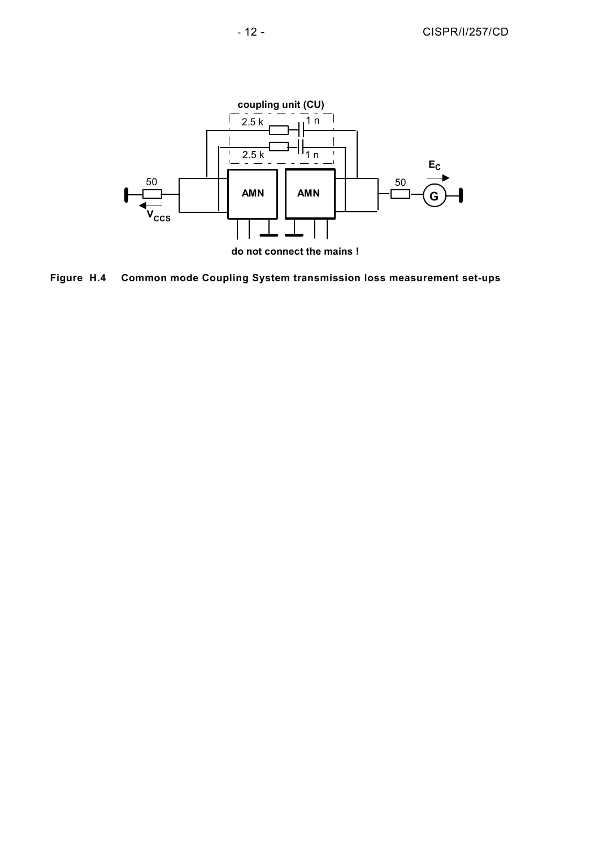

Figure H.4 **Common mode Coupling System transmission loss measurement set-ups**